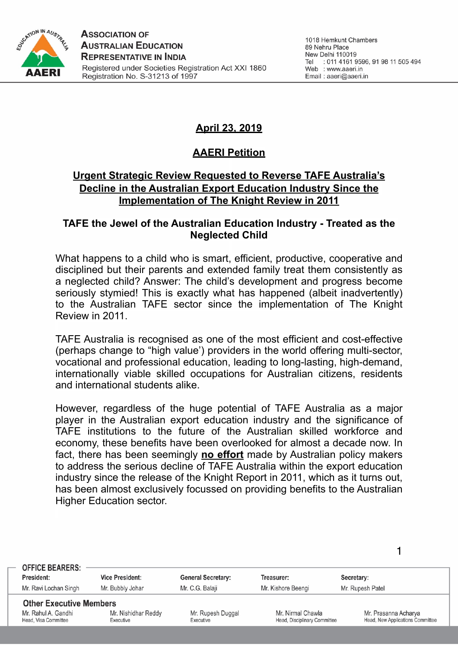

# **April 23, 2019**

# **AAERI Petition**

## **Urgent Strategic Review Requested to Reverse TAFE Australia's Decline in the Australian Export Education Industry Since the Implementation of The Knight Review in 2011**

#### **TAFE the Jewel of the Australian Education Industry - Treated as the Neglected Child**

What happens to a child who is smart, efficient, productive, cooperative and disciplined but their parents and extended family treat them consistently as a neglected child? Answer: The child's development and progress become seriously stymied! This is exactly what has happened (albeit inadvertently) to the Australian TAFE sector since the implementation of The Knight Review in 2011.

TAFE Australia is recognised as one of the most efficient and cost-effective (perhaps change to "high value') providers in the world offering multi-sector, vocational and professional education, leading to long-lasting, high-demand, internationally viable skilled occupations for Australian citizens, residents and international students alike.

However, regardless of the huge potential of TAFE Australia as a major player in the Australian export education industry and the significance of TAFE institutions to the future of the Australian skilled workforce and economy, these benefits have been overlooked for almost a decade now. In fact, there has been seemingly **no effort** made by Australian policy makers to address the serious decline of TAFE Australia within the export education industry since the release of the Knight Report in 2011, which as it turns out, has been almost exclusively focussed on providing benefits to the Australian Higher Education sector.

| <b>OFFICE BEARERS:</b><br>President:<br>Mr. Ravi Lochan Singh                 | <b>Vice President:</b><br>Mr. Bubbly Johar | <b>General Secretary:</b><br>Mr. C.G. Balaji | Treasurer:<br>Mr. Kishore Beengi                  | Secretary:<br>Mr. Rupesh Patel                           |
|-------------------------------------------------------------------------------|--------------------------------------------|----------------------------------------------|---------------------------------------------------|----------------------------------------------------------|
| <b>Other Executive Members</b><br>Mr. Rahul A. Gandhi<br>Head, Visa Committee | Mr. Nishidhar Reddy<br>Executive           | Mr. Rupesh Duggal<br>Executive               | Mr. Nirmal Chawla<br>Head, Disciplinary Committee | Mr. Prasanna Acharya<br>Head, New Applications Committee |
|                                                                               |                                            |                                              |                                                   |                                                          |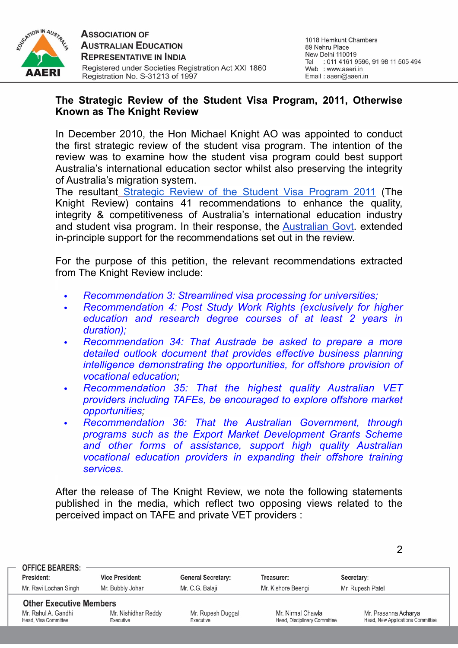

#### **The Strategic Review of the Student Visa Program, 2011, Otherwise Known as The Knight Review**

In December 2010, the Hon Michael Knight AO was appointed to conduct the first strategic review of the student visa program. The intention of the review was to examine how the student visa program could best support Australia's international education sector whilst also preserving the integrity of Australia's migration system.

The resultant [Strategic Review of the Student Visa Program 2011](https://drive.google.com/file/d/1opiFmel5br6NjY1t81NG7tOnsazQC48i/view) (The Knight Review) contains 41 recommendations to enhance the quality, integrity & competitiveness of Australia's international education industry and student visa program. In their response, the [Australian Govt.](https://drive.google.com/open?id=10CC4dxEgMkGYFUOBXOCLeeXOWrwqg54_) extended in-principle support for the recommendations set out in the review.

For the purpose of this petition, the relevant recommendations extracted from The Knight Review include:

- *• Recommendation 3: Streamlined visa processing for universities;*
- *• Recommendation 4: Post Study Work Rights (exclusively for higher education and research degree courses of at least 2 years in duration);*
- *• Recommendation 34: That Austrade be asked to prepare a more detailed outlook document that provides effective business planning intelligence demonstrating the opportunities, for offshore provision of vocational education;*
- *• Recommendation 35: That the highest quality Australian VET providers including TAFEs, be encouraged to explore offshore market opportunities;*
- *• Recommendation 36: That the Australian Government, through programs such as the Export Market Development Grants Scheme and other forms of assistance, support high quality Australian vocational education providers in expanding their offshore training services.*

After the release of The Knight Review, we note the following statements published in the media, which reflect two opposing views related to the perceived impact on TAFE and private VET providers :

| <b>OFFICE BEARERS:</b>                                                        |                                  |                                         |                                                   |                                                          |
|-------------------------------------------------------------------------------|----------------------------------|-----------------------------------------|---------------------------------------------------|----------------------------------------------------------|
| President:                                                                    | <b>Vice President:</b>           | <b>General Secretary:</b><br>Treasurer: |                                                   | Secretary:                                               |
| Mr. Ravi Lochan Singh                                                         | Mr. Bubbly Johar                 | Mr. C.G. Balaii                         | Mr. Kishore Beengi                                | Mr. Rupesh Patel                                         |
| <b>Other Executive Members</b><br>Mr. Rahul A. Gandhi<br>Head, Visa Committee | Mr. Nishidhar Reddy<br>Executive | Mr. Rupesh Duggal<br>Executive          | Mr. Nirmal Chawla<br>Head, Disciplinary Committee | Mr. Prasanna Acharya<br>Head, New Applications Committee |
|                                                                               |                                  |                                         |                                                   |                                                          |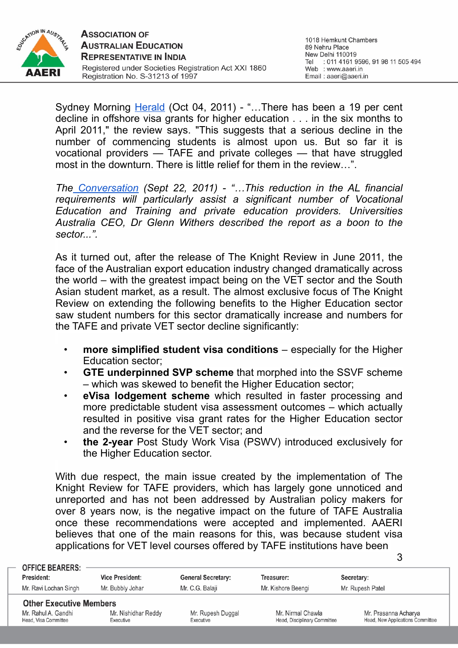

Sydney Morning [Herald](https://www.smh.com.au/education/knight-review-signals-end-of-gloom-20111003-1l52m.html) (Oct 04, 2011) - "...There has been a 19 per cent decline in offshore visa grants for higher education . . . in the six months to April 2011," the review says. "This suggests that a serious decline in the number of commencing students is almost upon us. But so far it is vocational providers — TAFE and private colleges — that have struggled most in the downturn. There is little relief for them in the review…".

*The [Conversation](http://theconversation.com/universities-welcome-knight-review-of-international-student-visa-rules-3504) (Sept 22, 2011) - "…This reduction in the AL financial requirements will particularly assist a significant number of Vocational Education and Training and private education providers. Universities Australia CEO, Dr Glenn Withers described the report as a boon to the sector...".*

As it turned out, after the release of The Knight Review in June 2011, the face of the Australian export education industry changed dramatically across the world – with the greatest impact being on the VET sector and the South Asian student market, as a result. The almost exclusive focus of The Knight Review on extending the following benefits to the Higher Education sector saw student numbers for this sector dramatically increase and numbers for the TAFE and private VET sector decline significantly:

- **more simplified student visa conditions** especially for the Higher Education sector;
- **GTE underpinned SVP scheme** that morphed into the SSVF scheme – which was skewed to benefit the Higher Education sector;
- **eVisa lodgement scheme** which resulted in faster processing and more predictable student visa assessment outcomes – which actually resulted in positive visa grant rates for the Higher Education sector and the reverse for the VET sector; and
- **the 2-year** Post Study Work Visa (PSWV) introduced exclusively for the Higher Education sector.

With due respect, the main issue created by the implementation of The Knight Review for TAFE providers, which has largely gone unnoticed and unreported and has not been addressed by Australian policy makers for over 8 years now, is the negative impact on the future of TAFE Australia once these recommendations were accepted and implemented. AAERI believes that one of the main reasons for this, was because student visa applications for VET level courses offered by TAFE institutions have been

| <b>OFFICE BEARERS:</b>                      |                                  |                                |                                                   |                                                          |
|---------------------------------------------|----------------------------------|--------------------------------|---------------------------------------------------|----------------------------------------------------------|
| President:                                  | <b>Vice President:</b>           | <b>General Secretary:</b>      | Treasurer:                                        | Secretary:                                               |
| Mr. Ravi Lochan Singh                       | Mr. Bubbly Johar                 | Mr. C.G. Balaji                | Mr. Kishore Beengi                                | Mr. Rupesh Patel                                         |
| <b>Other Executive Members</b>              |                                  |                                |                                                   |                                                          |
| Mr. Rahul A. Gandhi<br>Head, Visa Committee | Mr. Nishidhar Reddy<br>Executive | Mr. Rupesh Duggal<br>Executive | Mr. Nirmal Chawla<br>Head, Disciplinary Committee | Mr. Prasanna Acharya<br>Head, New Applications Committee |
|                                             |                                  |                                |                                                   |                                                          |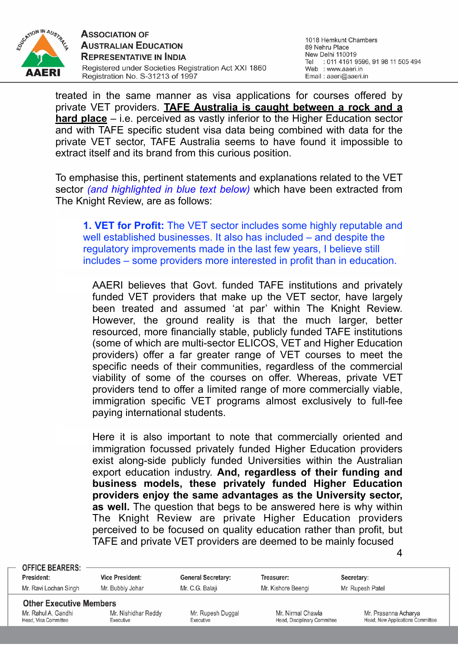

treated in the same manner as visa applications for courses offered by private VET providers. **TAFE Australia is caught between a rock and a hard place** – i.e. perceived as vastly inferior to the Higher Education sector and with TAFE specific student visa data being combined with data for the private VET sector, TAFE Australia seems to have found it impossible to extract itself and its brand from this curious position.

To emphasise this, pertinent statements and explanations related to the VET sector *(and highlighted in blue text below)* which have been extracted from The Knight Review, are as follows:

**1. VET for Profit:** The VET sector includes some highly reputable and well established businesses. It also has included – and despite the regulatory improvements made in the last few years, I believe still includes – some providers more interested in profit than in education.

AAERI believes that Govt. funded TAFE institutions and privately funded VET providers that make up the VET sector, have largely been treated and assumed 'at par' within The Knight Review. However, the ground reality is that the much larger, better resourced, more financially stable, publicly funded TAFE institutions (some of which are multi-sector ELICOS, VET and Higher Education providers) offer a far greater range of VET courses to meet the specific needs of their communities, regardless of the commercial viability of some of the courses on offer. Whereas, private VET providers tend to offer a limited range of more commercially viable, immigration specific VET programs almost exclusively to full-fee paying international students.

Here it is also important to note that commercially oriented and immigration focussed privately funded Higher Education providers exist along-side publicly funded Universities within the Australian export education industry. **And, regardless of their funding and business models, these privately funded Higher Education providers enjoy the same advantages as the University sector, as well.** The question that begs to be answered here is why within The Knight Review are private Higher Education providers perceived to be focused on quality education rather than profit, but TAFE and private VET providers are deemed to be mainly focused

| <b>OFFICE BEARERS:</b>                                                        |                                  |                                |                                                   |                                                          |
|-------------------------------------------------------------------------------|----------------------------------|--------------------------------|---------------------------------------------------|----------------------------------------------------------|
| President:                                                                    | <b>Vice President:</b>           | <b>General Secretary:</b>      | Treasurer:                                        | Secretary:                                               |
| Mr. Ravi Lochan Singh                                                         | Mr. Bubbly Johar                 | Mr. C.G. Balaji                | Mr. Kishore Beengi                                | Mr. Rupesh Patel                                         |
| <b>Other Executive Members</b><br>Mr. Rahul A. Gandhi<br>Head, Visa Committee | Mr. Nishidhar Reddy<br>Executive | Mr. Rupesh Duggal<br>Executive | Mr. Nirmal Chawla<br>Head, Disciplinary Committee | Mr. Prasanna Acharya<br>Head, New Applications Committee |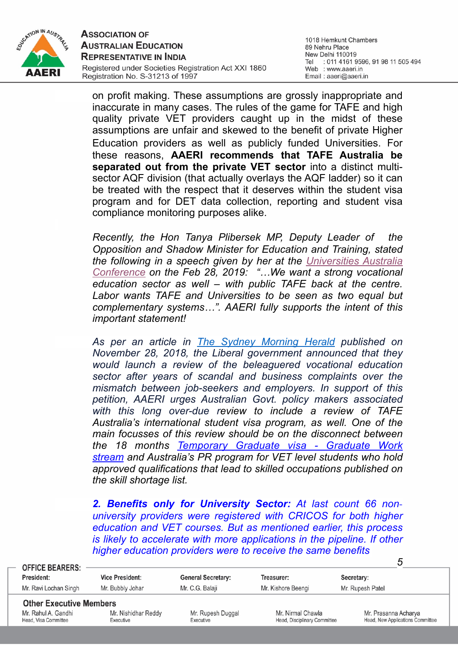

1018 Hemkunt Chambers 89 Nehru Place New Delhi 110019 Tel : 011 4161 9596, 91 98 11 505 494 Web : www.aaeri.in Email: aaeri@aaeri.in

on profit making. These assumptions are grossly inappropriate and inaccurate in many cases. The rules of the game for TAFE and high quality private VET providers caught up in the midst of these assumptions are unfair and skewed to the benefit of private Higher Education providers as well as publicly funded Universities. For these reasons, **AAERI recommends that TAFE Australia be separated out from the private VET sector** into a distinct multisector AQF division (that actually overlays the AQF ladder) so it can be treated with the respect that it deserves within the student visa program and for DET data collection, reporting and student visa compliance monitoring purposes alike.

*Recently, the Hon Tanya Plibersek MP, Deputy Leader of the Opposition and Shadow Minister for Education and Training, stated the following in a speech given by her at the [Universities Australia](http://www.tanyaplibersek.com/speech_address_to_the_universities_australia_conference_canberra_thursday_28_february_2019) [Conference](http://www.tanyaplibersek.com/speech_address_to_the_universities_australia_conference_canberra_thursday_28_february_2019) on the Feb 28, 2019: "…We want a strong vocational education sector as well – with public TAFE back at the centre. Labor wants TAFE and Universities to be seen as two equal but complementary systems…". AAERI fully supports the intent of this important statement!*

*As per an article in [The Sydney Morning Herald](https://www.smh.com.au/politics/federal/pm-to-launch-first-national-review-of-vocational-education-in-40-years-20181128-p50iw9.html) published on November 28, 2018, the Liberal government announced that they would launch a review of the beleaguered vocational education sector after years of scandal and business complaints over the mismatch between job-seekers and employers. In support of this petition, AAERI urges Australian Govt. policy makers associated with this long over-due review to include a review of TAFE Australia's international student visa program, as well. One of the main focusses of this review should be on the disconnect between the 18 months [Temporary Graduate visa - Graduate Work](https://immi.homeaffairs.gov.au/visas/getting-a-visa/visa-listing/temporary-graduate-485/graduate-work)  [stream](https://immi.homeaffairs.gov.au/visas/getting-a-visa/visa-listing/temporary-graduate-485/graduate-work) and Australia's PR program for VET level students who hold approved qualifications that lead to skilled occupations published on the skill shortage list.*

*2. Benefits only for University Sector: At last count 66 nonuniversity providers were registered with CRICOS for both higher education and VET courses. But as mentioned earlier, this process is likely to accelerate with more applications in the pipeline. If other higher education providers were to receive the same benefits* 

| <b>OFFICE BEARERS:</b>                                |                        |                           |                              | ა                                |  |
|-------------------------------------------------------|------------------------|---------------------------|------------------------------|----------------------------------|--|
| President:                                            | <b>Vice President:</b> | <b>General Secretary:</b> | Treasurer:                   | Secretary:                       |  |
| Mr. Ravi Lochan Singh                                 | Mr. Bubbly Johar       | Mr. C.G. Balaji           | Mr. Kishore Beengi           | Mr. Rupesh Patel                 |  |
| <b>Other Executive Members</b><br>Mr. Rahul A. Gandhi | Mr. Nishidhar Reddy    | Mr. Rupesh Duggal         | Mr. Nirmal Chawla            | Mr. Prasanna Acharya             |  |
| Head, Visa Committee                                  | Executive              | Executive                 | Head, Disciplinary Committee | Head, New Applications Committee |  |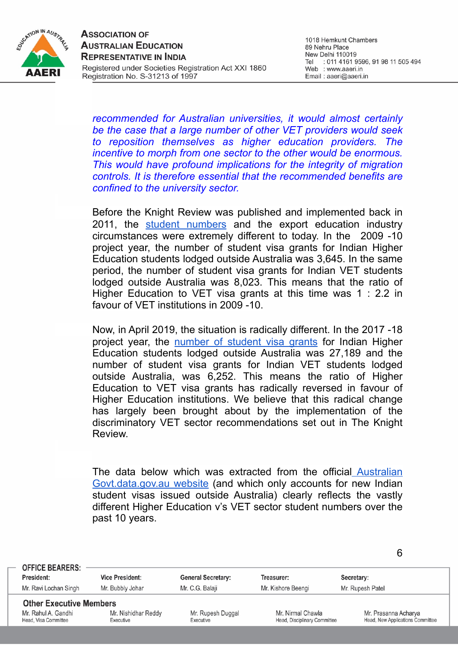

1018 Hemkunt Chambers 89 Nehru Place New Delhi 110019 Tel : 011 4161 9596, 91 98 11 505 494 Web : www.aaeri.in Email: aaeri@aaeri.in

6

*recommended for Australian universities, it would almost certainly be the case that a large number of other VET providers would seek to reposition themselves as higher education providers. The incentive to morph from one sector to the other would be enormous. This would have profound implications for the integrity of migration controls. It is therefore essential that the recommended benefits are confined to the university sector.*

Before the Knight Review was published and implemented back in 2011, the [student numbers](https://data.gov.au/data/dataset/student-visas/resource/1665ef1c-056d-4c51-81a7-464ac0e4dcfc?view_id=a3959813-0a80-4624-9818-bc65420981ca) and the export education industry circumstances were extremely different to today. In the 2009 -10 project year, the number of student visa grants for Indian Higher Education students lodged outside Australia was 3,645. In the same period, the number of student visa grants for Indian VET students lodged outside Australia was 8,023. This means that the ratio of Higher Education to VET visa grants at this time was 1 : 2.2 in favour of VET institutions in 2009 -10.

Now, in April 2019, the situation is radically different. In the 2017 -18 project year, the [number of student visa grants](https://data.gov.au/data/dataset/student-visas/resource/1665ef1c-056d-4c51-81a7-464ac0e4dcfc?view_id=a3959813-0a80-4624-9818-bc65420981ca) for Indian Higher Education students lodged outside Australia was 27,189 and the number of student visa grants for Indian VET students lodged outside Australia, was 6,252. This means the ratio of Higher Education to VET visa grants has radically reversed in favour of Higher Education institutions. We believe that this radical change has largely been brought about by the implementation of the discriminatory VET sector recommendations set out in The Knight Review.

The data below which was extracted from the officia[l Australian](https://data.gov.au/data/dataset/student-visas/resource/1665ef1c-056d-4c51-81a7-464ac0e4dcfc?view_id=a3959813-0a80-4624-9818-bc65420981ca) [Govt.data.gov.au website](https://data.gov.au/data/dataset/student-visas/resource/1665ef1c-056d-4c51-81a7-464ac0e4dcfc?view_id=a3959813-0a80-4624-9818-bc65420981ca) (and which only accounts for new Indian student visas issued outside Australia) clearly reflects the vastly different Higher Education v's VET sector student numbers over the past 10 years.

| <b>OFFICE BEARERS:</b><br>President: |                                             | <b>Vice President:</b>           | <b>General Secretary:</b>      | Treasurer:                                        | Secretary:                                               |  |
|--------------------------------------|---------------------------------------------|----------------------------------|--------------------------------|---------------------------------------------------|----------------------------------------------------------|--|
|                                      | Mr. Ravi Lochan Singh                       | Mr. Bubbly Johar                 | Mr. C.G. Balaji                | Mr. Kishore Beengi                                | Mr. Rupesh Patel                                         |  |
|                                      | <b>Other Executive Members</b>              |                                  |                                |                                                   |                                                          |  |
|                                      | Mr. Rahul A. Gandhi<br>Head, Visa Committee | Mr. Nishidhar Reddy<br>Executive | Mr. Rupesh Duggal<br>Executive | Mr. Nirmal Chawla<br>Head, Disciplinary Committee | Mr. Prasanna Acharya<br>Head, New Applications Committee |  |
|                                      |                                             |                                  |                                |                                                   |                                                          |  |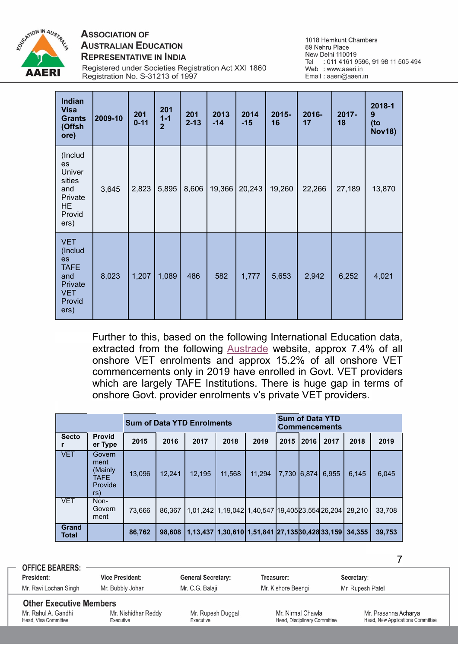

### **ASSOCIATION OF AUSTRALIAN EDUCATION REPRESENTATIVE IN INDIA**

1018 Hemkunt Chambers 89 Nehru Place New Delhi 110019 Tel : 011 4161 9596, 91 98 11 505 494<br>Web : www.aaeri.in Email: aaeri@aaeri.in

Registered under Societies Registration Act XXI 1860 Registration No. S-31213 of 1997

| Indian<br><b>Visa</b><br><b>Grants</b><br>(Offsh<br>ore)                                     | 2009-10 | 201<br>$0 - 11$ | 201<br>$1 - 1$<br>$\overline{2}$ | 201<br>$2 - 13$ | 2013<br>$-14$ | 2014<br>$-15$ | $2015 -$<br>16 | 2016-<br>17 | 2017-<br>18 | 2018-1<br>9<br>(to<br><b>Nov18)</b> |
|----------------------------------------------------------------------------------------------|---------|-----------------|----------------------------------|-----------------|---------------|---------------|----------------|-------------|-------------|-------------------------------------|
| (Includ<br>es<br>Univer<br>sities<br>and<br>Private<br>HE<br>Provid<br>ers)                  | 3,645   | 2,823           | 5,895                            | 8,606           | 19,366        | 20,243        | 19,260         | 22,266      | 27,189      | 13,870                              |
| <b>VET</b><br>(Includ<br>es<br><b>TAFE</b><br>and<br>Private<br><b>VET</b><br>Provid<br>ers) | 8,023   | 1,207           | 1,089                            | 486             | 582           | 1,777         | 5,653          | 2,942       | 6,252       | 4,021                               |

Further to this, based on the following International Education data, extracted from the following [Austrade](https://www.austrade.gov.au/Australian/Education/education-data) website, approx 7.4% of all onshore VET enrolments and approx 15.2% of all onshore VET commencements only in 2019 have enrolled in Govt. VET providers which are largely TAFE Institutions. There is huge gap in terms of onshore Govt. provider enrolments v's private VET providers.

| <b>Sum of Data YTD Enrolments</b> |                                                            |        |        |        |        | <b>Sum of Data YTD</b><br><b>Commencements</b>            |       |             |       |        |        |
|-----------------------------------|------------------------------------------------------------|--------|--------|--------|--------|-----------------------------------------------------------|-------|-------------|-------|--------|--------|
| <b>Secto</b>                      | <b>Provid</b><br>er Type                                   | 2015   | 2016   | 2017   | 2018   | 2019                                                      | 2015  | <b>2016</b> | 2017  | 2018   | 2019   |
| <b>VET</b>                        | Govern<br>ment<br>(Mainly<br><b>TAFE</b><br>Provide<br>rs) | 13,096 | 12,241 | 12,195 | 11,568 | 11.294                                                    | 7.730 | 6,874       | 6,955 | 6,145  | 6,045  |
| <b>VET</b>                        | Non-<br>Govern<br>ment                                     | 73.666 | 86.367 |        |        | 1,01,242 1,19,042 1,40,547 19,405 23,554 26,204           |       |             |       | 28.210 | 33,708 |
| <b>Grand</b><br>Total             |                                                            | 86,762 | 98,608 |        |        | 1,13,437   1,30,610   1,51,841   27,135   30,428   33,159 |       |             |       | 34.355 | 39,753 |

| <b>OFFICE BEARERS:</b>                     |                                  |                                |                                                  |                                                         |
|--------------------------------------------|----------------------------------|--------------------------------|--------------------------------------------------|---------------------------------------------------------|
| <b>President:</b>                          | <b>Vice President:</b>           | <b>General Secretary:</b>      | Treasurer:                                       | Secretary:                                              |
| Mr. Ravi Lochan Singh                      | Mr. Bubbly Johar                 | Mr. C.G. Balaji                | Mr. Kishore Beengi                               | Mr. Rupesh Patel                                        |
| <b>Other Executive Members</b>             |                                  |                                |                                                  |                                                         |
| Mr. Rahul A. Gandhi<br>Head Visa Committee | Mr. Nishidhar Reddy<br>Executive | Mr. Rupesh Duggal<br>Executive | Mr. Nirmal Chawla<br>Head Disciplinary Committee | Mr. Prasanna Acharya<br>Head New Applications Committee |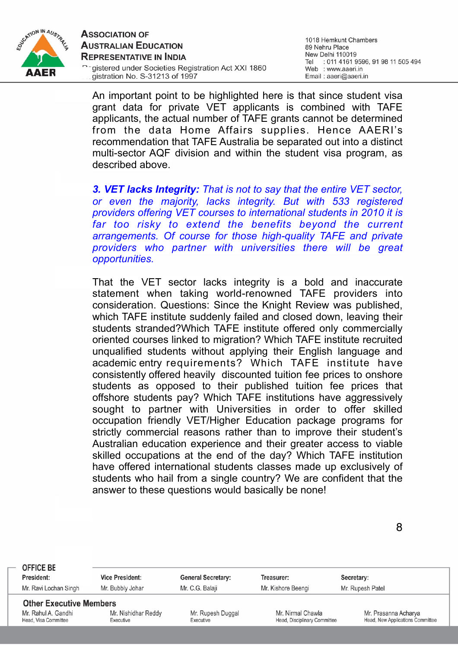

1018 Hemkunt Chambers 89 Nehru Place New Delhi 110019 Tel : 011 4161 9596, 91 98 11 505 494 Web : www.aaeri.in Email: aaeri@aaeri.in

An important point to be highlighted here is that since student visa grant data for private VET applicants is combined with TAFE applicants, the actual number of TAFE grants cannot be determined from the data Home Affairs supplies. Hence AAERI's recommendation that TAFE Australia be separated out into a distinct multi-sector AQF division and within the student visa program, as described above.

*3. VET lacks Integrity: That is not to say that the entire VET sector, or even the majority, lacks integrity. But with 533 registered providers offering VET courses to international students in 2010 it is far too risky to extend the benefits beyond the current arrangements. Of course for those high-quality TAFE and private providers who partner with universities there will be great opportunities.*

That the VET sector lacks integrity is a bold and inaccurate statement when taking world-renowned TAFE providers into consideration. Questions: Since the Knight Review was published, which TAFE institute suddenly failed and closed down, leaving their students stranded?Which TAFE institute offered only commercially oriented courses linked to migration? Which TAFE institute recruited unqualified students without applying their English language and academic entry requirements? Which TAFE institute have consistently offered heavily discounted tuition fee prices to onshore students as opposed to their published tuition fee prices that offshore students pay? Which TAFE institutions have aggressively sought to partner with Universities in order to offer skilled occupation friendly VET/Higher Education package programs for strictly commercial reasons rather than to improve their student's Australian education experience and their greater access to viable skilled occupations at the end of the day? Which TAFE institution have offered international students classes made up exclusively of students who hail from a single country? We are confident that the answer to these questions would basically be none!

| <b>OFFICE BE</b>                                      | <b>Vice President:</b> |                                |                              |                                                          |
|-------------------------------------------------------|------------------------|--------------------------------|------------------------------|----------------------------------------------------------|
| President:                                            |                        | <b>General Secretary:</b>      | Treasurer:                   | Secretary:                                               |
| Mr. Ravi Lochan Singh                                 | Mr. Bubbly Johar       | Mr. C.G. Balaji                | Mr. Kishore Beengi           | Mr. Rupesh Patel                                         |
| <b>Other Executive Members</b><br>Mr. Rahul A. Gandhi | Mr. Nishidhar Reddy    |                                | Mr. Nirmal Chawla            |                                                          |
| Head, Visa Committee                                  | Executive              | Mr. Rupesh Duggal<br>Executive | Head, Disciplinary Committee | Mr. Prasanna Acharya<br>Head, New Applications Committee |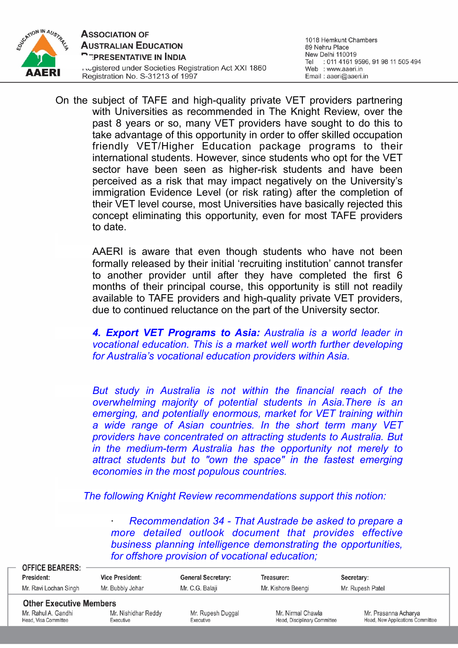

On the subject of TAFE and high-quality private VET providers partnering with Universities as recommended in The Knight Review, over the past 8 years or so, many VET providers have sought to do this to take advantage of this opportunity in order to offer skilled occupation friendly VET/Higher Education package programs to their international students. However, since students who opt for the VET sector have been seen as higher-risk students and have been perceived as a risk that may impact negatively on the University's immigration Evidence Level (or risk rating) after the completion of their VET level course, most Universities have basically rejected this concept eliminating this opportunity, even for most TAFE providers to date.

> AAERI is aware that even though students who have not been formally released by their initial 'recruiting institution' cannot transfer to another provider until after they have completed the first 6 months of their principal course, this opportunity is still not readily available to TAFE providers and high-quality private VET providers, due to continued reluctance on the part of the University sector.

> *4. Export VET Programs to Asia: Australia is a world leader in vocational education. This is a market well worth further developing for Australia's vocational education providers within Asia.*

> *But study in Australia is not within the financial reach of the overwhelming majority of potential students in Asia.There is an emerging, and potentially enormous, market for VET training within a wide range of Asian countries. In the short term many VET providers have concentrated on attracting students to Australia. But in the medium-term Australia has the opportunity not merely to attract students but to "own the space" in the fastest emerging economies in the most populous countries.*

*The following Knight Review recommendations support this notion:*

· *Recommendation 34 - That Austrade be asked to prepare a more detailed outlook document that provides effective business planning intelligence demonstrating the opportunities, for offshore provision of vocational education;*

| <b>OFFICE BEARERS:</b><br>President:                  | <b>Vice President:</b> | <b>General Secretary:</b> | Treasurer:                   | Secretary:                       |
|-------------------------------------------------------|------------------------|---------------------------|------------------------------|----------------------------------|
| Mr. Ravi Lochan Singh                                 | Mr. Bubbly Johar       | Mr. C.G. Balaji           | Mr. Kishore Beengi           | Mr. Rupesh Patel                 |
| <b>Other Executive Members</b><br>Mr. Rahul A. Gandhi | Mr. Nishidhar Reddy    | Mr. Rupesh Duggal         | Mr. Nirmal Chawla            | Mr. Prasanna Acharya             |
| Head, Visa Committee                                  | Executive              | Executive                 | Head, Disciplinary Committee | Head, New Applications Committee |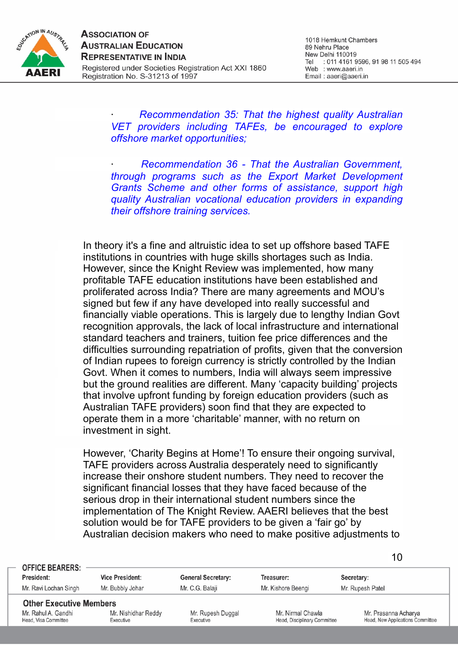

10

· *Recommendation 35: That the highest quality Australian VET providers including TAFEs, be encouraged to explore offshore market opportunities;*

· *Recommendation 36 - That the Australian Government, through programs such as the Export Market Development Grants Scheme and other forms of assistance, support high quality Australian vocational education providers in expanding their offshore training services.*

In theory it's a fine and altruistic idea to set up offshore based TAFE institutions in countries with huge skills shortages such as India. However, since the Knight Review was implemented, how many profitable TAFE education institutions have been established and proliferated across India? There are many agreements and MOU's signed but few if any have developed into really successful and financially viable operations. This is largely due to lengthy Indian Govt recognition approvals, the lack of local infrastructure and international standard teachers and trainers, tuition fee price differences and the difficulties surrounding repatriation of profits, given that the conversion of Indian rupees to foreign currency is strictly controlled by the Indian Govt. When it comes to numbers, India will always seem impressive but the ground realities are different. Many 'capacity building' projects that involve upfront funding by foreign education providers (such as Australian TAFE providers) soon find that they are expected to operate them in a more 'charitable' manner, with no return on investment in sight.

However, 'Charity Begins at Home'! To ensure their ongoing survival, TAFE providers across Australia desperately need to significantly increase their onshore student numbers. They need to recover the significant financial losses that they have faced because of the serious drop in their international student numbers since the implementation of The Knight Review. AAERI believes that the best solution would be for TAFE providers to be given a 'fair go' by Australian decision makers who need to make positive adjustments to

| <b>OFFICE BEARERS:</b>                                                        |                                            |                                              |                                                   |                                                          |
|-------------------------------------------------------------------------------|--------------------------------------------|----------------------------------------------|---------------------------------------------------|----------------------------------------------------------|
| President:<br>Mr. Ravi Lochan Singh                                           | <b>Vice President:</b><br>Mr. Bubbly Johar | <b>General Secretary:</b><br>Mr. C.G. Balaji | Treasurer:<br>Mr. Kishore Beengi                  | Secretary:<br>Mr. Rupesh Patel                           |
| <b>Other Executive Members</b><br>Mr. Rahul A. Gandhi<br>Head, Visa Committee | Mr. Nishidhar Reddy<br>Executive           | Mr. Rupesh Duggal<br>Executive               | Mr. Nirmal Chawla<br>Head, Disciplinary Committee | Mr. Prasanna Acharya<br>Head, New Applications Committee |
|                                                                               |                                            |                                              |                                                   |                                                          |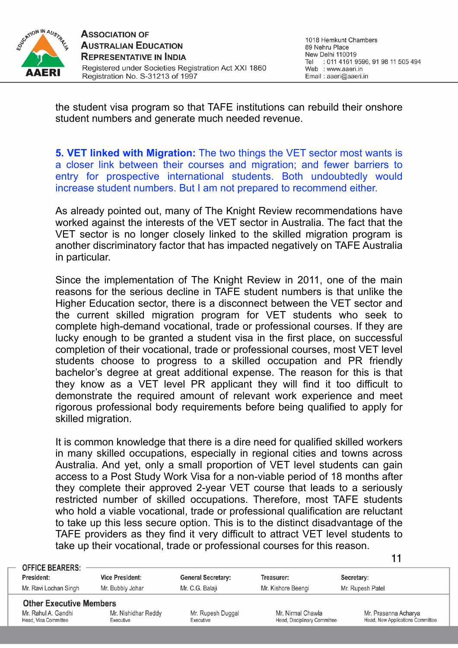

the student visa program so that TAFE institutions can rebuild their onshore student numbers and generate much needed revenue.

**5. VET linked with Migration:** The two things the VET sector most wants is a closer link between their courses and migration; and fewer barriers to entry for prospective international students. Both undoubtedly would increase student numbers. But I am not prepared to recommend either.

As already pointed out, many of The Knight Review recommendations have worked against the interests of the VET sector in Australia. The fact that the VET sector is no longer closely linked to the skilled migration program is another discriminatory factor that has impacted negatively on TAFE Australia in particular.

Since the implementation of The Knight Review in 2011, one of the main reasons for the serious decline in TAFE student numbers is that unlike the Higher Education sector, there is a disconnect between the VET sector and the current skilled migration program for VET students who seek to complete high-demand vocational, trade or professional courses. If they are lucky enough to be granted a student visa in the first place, on successful completion of their vocational, trade or professional courses, most VET level students choose to progress to a skilled occupation and PR friendly bachelor's degree at great additional expense. The reason for this is that they know as a VET level PR applicant they will find it too difficult to demonstrate the required amount of relevant work experience and meet rigorous professional body requirements before being qualified to apply for skilled migration.

It is common knowledge that there is a dire need for qualified skilled workers in many skilled occupations, especially in regional cities and towns across Australia. And yet, only a small proportion of VET level students can gain access to a Post Study Work Visa for a non-viable period of 18 months after they complete their approved 2-year VET course that leads to a seriously restricted number of skilled occupations. Therefore, most TAFE students who hold a viable vocational, trade or professional qualification are reluctant to take up this less secure option. This is to the distinct disadvantage of the TAFE providers as they find it very difficult to attract VET level students to take up their vocational, trade or professional courses for this reason.

| <b>OFFICE BEARERS:</b>                                |                        |                           |                              |                                  |
|-------------------------------------------------------|------------------------|---------------------------|------------------------------|----------------------------------|
| President:                                            | <b>Vice President:</b> | <b>General Secretary:</b> | Treasurer:                   | Secretary:                       |
| Mr. Ravi Lochan Singh                                 | Mr. Bubbly Johar       | Mr. C.G. Balaji           | Mr. Kishore Beengi           | Mr. Rupesh Patel                 |
| <b>Other Executive Members</b><br>Mr. Rahul A. Gandhi | Mr. Nishidhar Reddy    | Mr. Rupesh Duggal         | Mr. Nirmal Chawla            | Mr. Prasanna Acharya             |
| Head, Visa Committee                                  | Executive              | Executive                 | Head, Disciplinary Committee | Head, New Applications Committee |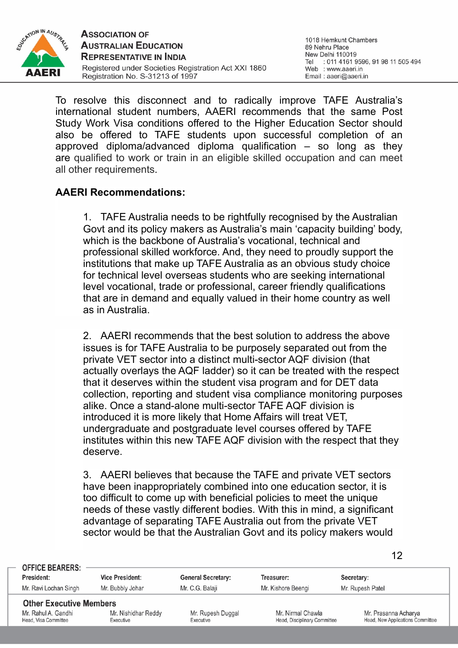

To resolve this disconnect and to radically improve TAFE Australia's international student numbers, AAERI recommends that the same Post Study Work Visa conditions offered to the Higher Education Sector should also be offered to TAFE students upon successful completion of an approved diploma/advanced diploma qualification – so long as they are qualified to work or train in an eligible skilled occupation and can meet all other requirements.

### **AAERI Recommendations:**

1. TAFE Australia needs to be rightfully recognised by the Australian Govt and its policy makers as Australia's main 'capacity building' body, which is the backbone of Australia's vocational, technical and professional skilled workforce. And, they need to proudly support the institutions that make up TAFE Australia as an obvious study choice for technical level overseas students who are seeking international level vocational, trade or professional, career friendly qualifications that are in demand and equally valued in their home country as well as in Australia.

2. AAERI recommends that the best solution to address the above issues is for TAFE Australia to be purposely separated out from the private VET sector into a distinct multi-sector AQF division (that actually overlays the AQF ladder) so it can be treated with the respect that it deserves within the student visa program and for DET data collection, reporting and student visa compliance monitoring purposes alike. Once a stand-alone multi-sector TAFE AQF division is introduced it is more likely that Home Affairs will treat VET, undergraduate and postgraduate level courses offered by TAFE institutes within this new TAFE AQF division with the respect that they deserve.

3. AAERI believes that because the TAFE and private VET sectors have been inappropriately combined into one education sector, it is too difficult to come up with beneficial policies to meet the unique needs of these vastly different bodies. With this in mind, a significant advantage of separating TAFE Australia out from the private VET sector would be that the Australian Govt and its policy makers would

| <b>OFFICE BEARERS:</b>                                                        |                                  |                                |                                                   |                                                          |
|-------------------------------------------------------------------------------|----------------------------------|--------------------------------|---------------------------------------------------|----------------------------------------------------------|
| President:                                                                    | <b>Vice President:</b>           | <b>General Secretary:</b>      | Treasurer:                                        | Secretary:                                               |
| Mr. Ravi Lochan Singh                                                         | Mr. Bubbly Johar                 | Mr. C.G. Balaji                | Mr. Kishore Beengi                                | Mr. Rupesh Patel                                         |
| <b>Other Executive Members</b><br>Mr. Rahul A. Gandhi<br>Head, Visa Committee | Mr. Nishidhar Reddy<br>Executive | Mr. Rupesh Duggal<br>Executive | Mr. Nirmal Chawla<br>Head, Disciplinary Committee | Mr. Prasanna Acharya<br>Head, New Applications Committee |
|                                                                               |                                  |                                |                                                   |                                                          |